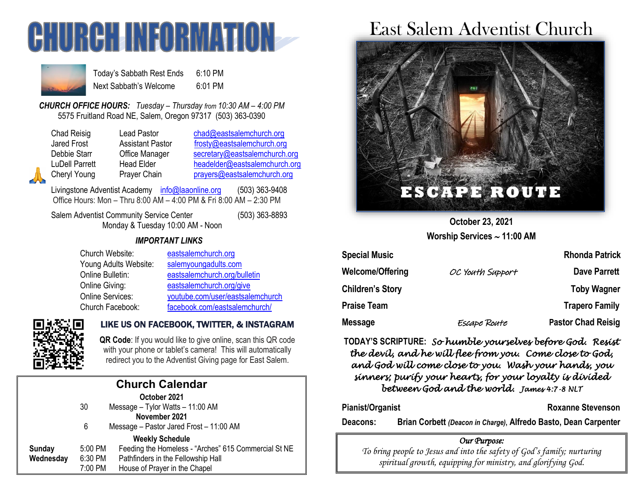



Today's Sabbath Rest Ends 6:10 PM Next Sabbath's Welcome 6:01 PM

*CHURCH OFFICE HOURS: Tuesday – Thursday from 10:30 AM – 4:00 PM* 5575 Fruitland Road NE, Salem, Oregon 97317 (503) 363-0390

Lead Pastor [chad@eastsalemchurch.org](mailto:chad@eastsalemchurch.org) Assistant Pastor [frosty@eastsalemchurch.org](mailto:frosty@eastsalemchurch.org) Office Manager [secretary@eastsalemchurch.org](mailto:secretary@eastsalemchurch.org) Head Elder [headelder@eastsalemchurch.org](mailto:headelder@eastsalemchurch.org) Prayer Chain [prayers@eastsalemchurch.org](mailto:prayers@eastsalemchurch.org)

Livingstone Adventist Academy [info@laaonline.org](mailto:info@laaonline.org) (503) 363-9408 Office Hours: Mon – Thru 8:00 AM – 4:00 PM & Fri 8:00 AM – 2:30 PM

Salem Adventist Community Service Center (503) 363-8893 Monday & Tuesday 10:00 AM - Noon

#### *IMPORTANT LINKS*

| Church Website:         | eastsalemchurch.org              |
|-------------------------|----------------------------------|
| Young Adults Website:   | salemyoungadults.com             |
| Online Bulletin:        | eastsalemchurch.org/bulletin     |
| Online Giving:          | eastsalemchurch.org/give         |
| <b>Online Services:</b> | youtube.com/user/eastsalemchurch |
| Church Facebook:        | facebook.com/eastsalemchurch/    |



#### LIKE US ON FACEBOOK, TWITTER, & INSTAGRAM

**QR Code**: If you would like to give online, scan this QR code with your phone or tablet's camera! This will automatically redirect you to the Adventist Giving page for East Salem.

| <b>Church Calendar</b> |         |                                                      |  |  |
|------------------------|---------|------------------------------------------------------|--|--|
| October 2021           |         |                                                      |  |  |
|                        | 30      | Message - Tylor Watts - 11:00 AM                     |  |  |
| November 2021          |         |                                                      |  |  |
|                        | 6       | Message - Pastor Jared Frost - 11:00 AM              |  |  |
| <b>Weekly Schedule</b> |         |                                                      |  |  |
| Sunday                 | 5:00 PM | Feeding the Homeless - "Arches" 615 Commercial St NE |  |  |
| Wednesday              | 6:30 PM | Pathfinders in the Fellowship Hall                   |  |  |
|                        | 7:00 PM | House of Prayer in the Chapel                        |  |  |

# East Salem Adventist Church



**October 23, 2021 Worship Services 11:00 AM**

| <b>Special Music</b>    |                  | <b>Rhonda Patrick</b>     |
|-------------------------|------------------|---------------------------|
| Welcome/Offering        | OC Youth Support | <b>Dave Parrett</b>       |
| <b>Children's Story</b> |                  | <b>Toby Wagner</b>        |
| Praise Team             |                  | <b>Trapero Family</b>     |
| Message                 | Escape Route     | <b>Pastor Chad Reisig</b> |

**TODAY'S SCRIPTURE:** *So humble yourselves before God. Resist the devil, and he will flee from you. Come close to God, and God will come close to you. Wash your hands, you sinners; purify your hearts, for your loyalty is divided between God and the world. James 4:7-8 NLT* 

**Pianist/Organist Roxanne Stevenson** 

**Deacons: Brian Corbett** *(Deacon in Charge)***, Alfredo Basto, Dean Carpenter**

#### *Our Purpose:*

*To bring people to Jesus and into the safety of God's family; nurturing spiritual growth, equipping for ministry, and glorifying God.*